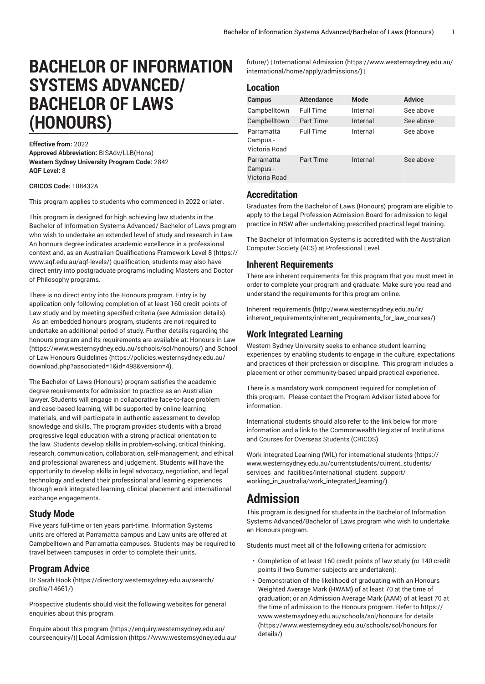# **BACHELOR OF INFORMATION SYSTEMS ADVANCED/ BACHELOR OF LAWS (HONOURS)**

#### **Effective from:** 2022

**Approved Abbreviation:** BISAdv/LLB(Hons) **Western Sydney University Program Code:** 2842 **AQF Level:** 8

### **CRICOS Code:** 108432A

This program applies to students who commenced in 2022 or later.

This program is designed for high achieving law students in the Bachelor of Information Systems Advanced/ Bachelor of Laws program who wish to undertake an extended level of study and research in Law. An honours degree indicates academic excellence in a professional context and, as an Australian [Qualifications](https://www.aqf.edu.au/aqf-levels/) Framework Level 8 ([https://](https://www.aqf.edu.au/aqf-levels/) [www.aqf.edu.au/aqf-levels/](https://www.aqf.edu.au/aqf-levels/)) qualification, students may also have direct entry into postgraduate programs including Masters and Doctor of Philosophy programs.

There is no direct entry into the Honours program. Entry is by application only following completion of at least 160 credit points of Law study and by meeting specified criteria (see Admission details). As an embedded honours program, students are not required to undertake an additional period of study. Further details regarding the honours program and its requirements are available at: [Honours in Law](https://www.westernsydney.edu.au/schools/sol/honours/) ([https://www.westernsydney.edu.au/schools/sol/honours/\)](https://www.westernsydney.edu.au/schools/sol/honours/) and [School](https://policies.westernsydney.edu.au/download.php?associated=1&id=498&version=4) [of Law Honours Guidelines \(https://policies.westernsydney.edu.au/](https://policies.westernsydney.edu.au/download.php?associated=1&id=498&version=4) [download.php?associated=1&id=498&version=4\)](https://policies.westernsydney.edu.au/download.php?associated=1&id=498&version=4).

The Bachelor of Laws (Honours) program satisfies the academic degree requirements for admission to practice as an Australian lawyer. Students will engage in collaborative face-to-face problem and case-based learning, will be supported by online learning materials, and will participate in authentic assessment to develop knowledge and skills. The program provides students with a broad progressive legal education with a strong practical orientation to the law. Students develop skills in problem-solving, critical thinking, research, communication, collaboration, self-management, and ethical and professional awareness and judgement. Students will have the opportunity to develop skills in legal advocacy, negotiation, and legal technology and extend their professional and learning experiences through work integrated learning, clinical placement and international exchange engagements.

### **Study Mode**

Five years full-time or ten years part-time. Information Systems units are offered at Parramatta campus and Law units are offered at Campbelltown and Parramatta campuses. Students may be required to travel between campuses in order to complete their units.

### **Program Advice**

[Dr Sarah Hook](https://directory.westernsydney.edu.au/search/profile/14661/) ([https://directory.westernsydney.edu.au/search/](https://directory.westernsydney.edu.au/search/profile/14661/) [profile/14661/\)](https://directory.westernsydney.edu.au/search/profile/14661/)

Prospective students should visit the following websites for general enquiries about this program.

Enquire about this [program \(https://enquiry.westernsydney.edu.au/](https://enquiry.westernsydney.edu.au/courseenquiry/) [courseenquiry/](https://enquiry.westernsydney.edu.au/courseenquiry/))| [Local Admission \(https://www.westernsydney.edu.au/](https://www.westernsydney.edu.au/future/) [future/](https://www.westernsydney.edu.au/future/)) | [International Admission \(https://www.westernsydney.edu.au/](https://www.westernsydney.edu.au/international/home/apply/admissions/) [international/home/apply/admissions/](https://www.westernsydney.edu.au/international/home/apply/admissions/)) |

### **Location**

| <b>Campus</b>                           | <b>Attendance</b> | <b>Mode</b> | <b>Advice</b> |
|-----------------------------------------|-------------------|-------------|---------------|
| Campbelltown                            | <b>Full Time</b>  | Internal    | See above     |
| Campbelltown                            | <b>Part Time</b>  | Internal    | See above     |
| Parramatta<br>Campus -<br>Victoria Road | <b>Full Time</b>  | Internal    | See above     |
| Parramatta<br>Campus -<br>Victoria Road | Part Time         | Internal    | See above     |

### **Accreditation**

Graduates from the Bachelor of Laws (Honours) program are eligible to apply to the Legal Profession Admission Board for admission to legal practice in NSW after undertaking prescribed practical legal training.

The Bachelor of Information Systems is accredited with the Australian Computer Society (ACS) at Professional Level.

### **Inherent Requirements**

There are inherent requirements for this program that you must meet in order to complete your program and graduate. Make sure you read and understand the requirements for this program online.

Inherent [requirements \(http://www.westernsydney.edu.au/ir/](http://www.westernsydney.edu.au/ir/inherent_requirements/inherent_requirements_for_law_courses/) [inherent\\_requirements/inherent\\_requirements\\_for\\_law\\_courses/](http://www.westernsydney.edu.au/ir/inherent_requirements/inherent_requirements_for_law_courses/))

### **Work Integrated Learning**

Western Sydney University seeks to enhance student learning experiences by enabling students to engage in the culture, expectations and practices of their profession or discipline. This program includes a placement or other community-based unpaid practical experience.

There is a mandatory work component required for completion of this program. Please contact the Program Advisor listed above for information.

International students should also refer to the link below for more information and a link to the Commonwealth Register of Institutions and Courses for Overseas Students (CRICOS).

Work Integrated Learning (WIL) for [international](https://www.westernsydney.edu.au/currentstudents/current_students/services_and_facilities/international_student_support/working_in_australia/work_integrated_learning/) students ([https://](https://www.westernsydney.edu.au/currentstudents/current_students/services_and_facilities/international_student_support/working_in_australia/work_integrated_learning/) [www.westernsydney.edu.au/currentstudents/current\\_students/](https://www.westernsydney.edu.au/currentstudents/current_students/services_and_facilities/international_student_support/working_in_australia/work_integrated_learning/) [services\\_and\\_facilities/international\\_student\\_support/](https://www.westernsydney.edu.au/currentstudents/current_students/services_and_facilities/international_student_support/working_in_australia/work_integrated_learning/) [working\\_in\\_australia/work\\_integrated\\_learning/](https://www.westernsydney.edu.au/currentstudents/current_students/services_and_facilities/international_student_support/working_in_australia/work_integrated_learning/))

# **Admission**

This program is designed for students in the Bachelor of Information Systems Advanced/Bachelor of Laws program who wish to undertake an Honours program.

Students must meet all of the following criteria for admission:

- Completion of at least 160 credit points of law study (or 140 credit points if two Summer subjects are undertaken);
- Demonstration of the likelihood of graduating with an Honours Weighted Average Mark (HWAM) of at least 70 at the time of graduation; or an Admission Average Mark (AAM) of at least 70 at the time of admission to the Honours program. Refer to [https://](https://www.westernsydney.edu.au/schools/sol/honours for details/) [www.westernsydney.edu.au/schools/sol/honours](https://www.westernsydney.edu.au/schools/sol/honours for details/) for details ([https://www.westernsydney.edu.au/schools/sol/honours](https://www.westernsydney.edu.au/schools/sol/honours for details/) for [details/\)](https://www.westernsydney.edu.au/schools/sol/honours for details/)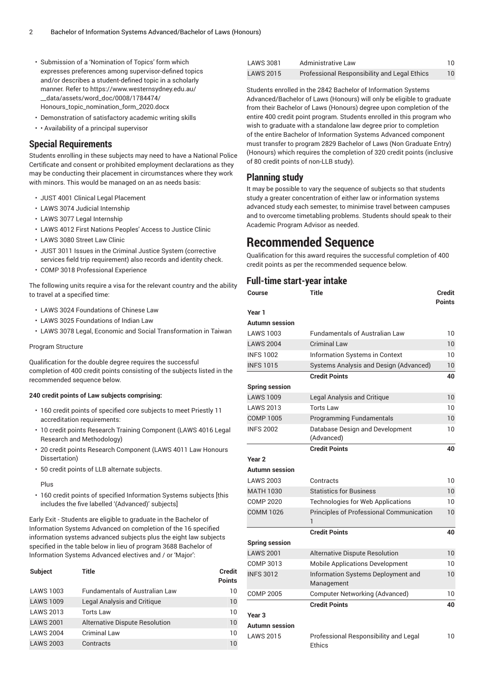- Submission of a 'Nomination of Topics' form which expresses preferences among supervisor-defined topics and/or describes a student-defined topic in a scholarly manner. Refer to [https://www.westernsydney.edu.au/](https://www.westernsydney.edu.au/__data/assets/word_doc/0008/1784474/Honours_topic_nomination_form_2020.docx) [\\_\\_data/assets/word\\_doc/0008/1784474/](https://www.westernsydney.edu.au/__data/assets/word_doc/0008/1784474/Honours_topic_nomination_form_2020.docx) [Honours\\_topic\\_nomination\\_form\\_2020.docx](https://www.westernsydney.edu.au/__data/assets/word_doc/0008/1784474/Honours_topic_nomination_form_2020.docx)
- Demonstration of satisfactory academic writing skills
- • Availability of a principal supervisor

### **Special Requirements**

Students enrolling in these subjects may need to have a National Police Certificate and consent or prohibited employment declarations as they may be conducting their placement in circumstances where they work with minors. This would be managed on an as needs basis:

- [JUST 4001](/search/?P=JUST%204001) Clinical Legal Placement
- [LAWS](/search/?P=LAWS%203074) 3074 Judicial Internship
- [LAWS](/search/?P=LAWS%203077) 3077 Legal Internship
- [LAWS](/search/?P=LAWS%204012) 4012 First Nations Peoples' Access to Justice Clinic
- [LAWS](/search/?P=LAWS%203080) 3080 Street Law Clinic
- [JUST 3011](/search/?P=JUST%203011) Issues in the Criminal Justice System (corrective services field trip requirement) also records and identity check.
- COMP 3018 Professional Experience

The following units require a visa for the relevant country and the ability to travel at a specified time:

- [LAWS](/search/?P=LAWS%203024) 3024 Foundations of Chinese Law
- [LAWS](/search/?P=LAWS%203025) 3025 Foundations of Indian Law
- [LAWS](/search/?P=LAWS%203078) 3078 Legal, Economic and Social Transformation in Taiwan

### Program Structure

Qualification for the double degree requires the successful completion of 400 credit points consisting of the subjects listed in the recommended sequence below.

### **240 credit points of Law subjects comprising:**

- 160 credit points of specified core subjects to meet Priestly 11 accreditation requirements:
- 10 credit points Research Training Component (LAWS 4016 Legal Research and Methodology)
- 20 credit points Research Component (LAWS 4011 Law Honours Dissertation)
- 50 credit points of LLB alternate subjects.

Plus

• 160 credit points of specified Information Systems subjects [this includes the five labelled '(Advanced)' subjects]

Early Exit - Students are eligible to graduate in the Bachelor of Information Systems Advanced on completion of the 16 specified information systems advanced subjects plus the eight law subjects specified in the table below in lieu of program 3688 Bachelor of Information Systems Advanced electives and / or 'Major':

| <b>Subject</b>   | Title                                 | <b>Credit</b><br><b>Points</b> |
|------------------|---------------------------------------|--------------------------------|
| <b>LAWS 1003</b> | <b>Fundamentals of Australian Law</b> | 10                             |
| <b>LAWS 1009</b> | Legal Analysis and Critique           | 10                             |
| <b>LAWS 2013</b> | <b>Torts Law</b>                      | 10                             |
| <b>LAWS 2001</b> | Alternative Dispute Resolution        | 10                             |
| <b>LAWS 2004</b> | <b>Criminal Law</b>                   | 10                             |
| <b>LAWS 2003</b> | Contracts                             | 10                             |
|                  |                                       |                                |

| LAWS 3081 | Administrative Law                                  |    |
|-----------|-----------------------------------------------------|----|
| LAWS 2015 | <b>Professional Responsibility and Legal Ethics</b> | 10 |

Students enrolled in the 2842 Bachelor of Information Systems Advanced/Bachelor of Laws (Honours) will only be eligible to graduate from their Bachelor of Laws (Honours) degree upon completion of the entire 400 credit point program. Students enrolled in this program who wish to graduate with a standalone law degree prior to completion of the entire Bachelor of Information Systems Advanced component must transfer to program 2829 Bachelor of Laws (Non Graduate Entry) (Honours) which requires the completion of 320 credit points (inclusive of 80 credit points of non-LLB study).

## **Planning study**

It may be possible to vary the sequence of subjects so that students study a greater concentration of either law or information systems advanced study each semester, to minimise travel between campuses and to overcome timetabling problems. Students should speak to their Academic Program Advisor as needed.

# **Recommended Sequence**

Qualification for this award requires the successful completion of 400 credit points as per the recommended sequence below.

### **Full-time start-year intake**

| Course                | <b>Title</b>                                           | <b>Credit</b><br><b>Points</b> |
|-----------------------|--------------------------------------------------------|--------------------------------|
| Year 1                |                                                        |                                |
| Autumn session        |                                                        |                                |
| <b>LAWS 1003</b>      | <b>Fundamentals of Australian Law</b>                  | 10                             |
| <b>LAWS 2004</b>      | <b>Criminal Law</b>                                    | 10                             |
| <b>INFS 1002</b>      | Information Systems in Context                         | 10                             |
| <b>INFS 1015</b>      | Systems Analysis and Design (Advanced)                 | 10                             |
|                       | <b>Credit Points</b>                                   | 40                             |
| <b>Spring session</b> |                                                        |                                |
| <b>LAWS 1009</b>      | Legal Analysis and Critique                            | 10                             |
| <b>LAWS 2013</b>      | <b>Torts Law</b>                                       | 10                             |
| COMP 1005             | <b>Programming Fundamentals</b>                        | 10                             |
| <b>INFS 2002</b>      | Database Design and Development<br>(Advanced)          | 10                             |
|                       | <b>Credit Points</b>                                   | 40                             |
| Year 2                |                                                        |                                |
| Autumn session        |                                                        |                                |
| <b>LAWS 2003</b>      | Contracts                                              | 10                             |
| <b>MATH 1030</b>      | <b>Statistics for Business</b>                         | 10 <sup>°</sup>                |
| <b>COMP 2020</b>      | <b>Technologies for Web Applications</b>               | 10                             |
| <b>COMM 1026</b>      | Principles of Professional Communication<br>1          | 10                             |
|                       | <b>Credit Points</b>                                   | 40                             |
| <b>Spring session</b> |                                                        |                                |
| <b>LAWS 2001</b>      | <b>Alternative Dispute Resolution</b>                  | 10                             |
| COMP 3013             | <b>Mobile Applications Development</b>                 | 10                             |
| <b>INFS 3012</b>      | Information Systems Deployment and<br>Management       | 10                             |
| COMP 2005             | <b>Computer Networking (Advanced)</b>                  | 10                             |
|                       | <b>Credit Points</b>                                   | 40                             |
| Year 3                |                                                        |                                |
| Autumn session        |                                                        |                                |
| <b>LAWS 2015</b>      | Professional Responsibility and Legal<br><b>Ethics</b> | 10                             |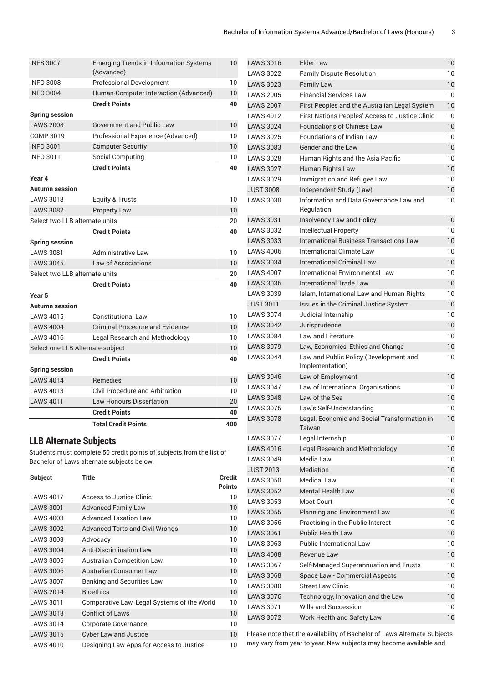|                                  | <b>Total Credit Points</b>                                  | 400 |
|----------------------------------|-------------------------------------------------------------|-----|
|                                  | <b>Credit Points</b>                                        | 40  |
| <b>LAWS 4011</b>                 | <b>Law Honours Dissertation</b>                             | 20  |
| <b>LAWS 4013</b>                 | Civil Procedure and Arbitration                             | 10  |
| <b>LAWS 4014</b>                 | <b>Remedies</b>                                             | 10  |
| <b>Spring session</b>            |                                                             |     |
|                                  | <b>Credit Points</b>                                        | 40  |
| Select one LLB Alternate subject |                                                             | 10  |
| <b>LAWS 4016</b>                 | Legal Research and Methodology                              | 10  |
| <b>LAWS 4004</b>                 | <b>Criminal Procedure and Evidence</b>                      | 10  |
| <b>LAWS 4015</b>                 | Constitutional Law                                          | 10  |
| <b>Autumn session</b>            |                                                             |     |
| Year 5                           |                                                             |     |
|                                  | <b>Credit Points</b>                                        | 40  |
| Select two LLB alternate units   |                                                             | 20  |
| <b>LAWS 3045</b>                 | Law of Associations                                         | 10  |
| <b>LAWS 3081</b>                 | Administrative Law                                          | 10  |
| <b>Spring session</b>            |                                                             |     |
|                                  | <b>Credit Points</b>                                        | 40  |
| Select two LLB alternate units   |                                                             | 20  |
| <b>LAWS 3082</b>                 | <b>Property Law</b>                                         | 10  |
| <b>LAWS 3018</b>                 | <b>Equity &amp; Trusts</b>                                  | 10  |
| <b>Autumn</b> session            |                                                             |     |
| Year 4                           |                                                             |     |
|                                  | <b>Credit Points</b>                                        | 40  |
| <b>INFO 3011</b>                 | <b>Social Computing</b>                                     | 10  |
| <b>INFO 3001</b>                 | <b>Computer Security</b>                                    | 10  |
| COMP 3019                        | Professional Experience (Advanced)                          | 10  |
| <b>LAWS 2008</b>                 | <b>Government and Public Law</b>                            | 10  |
| <b>Spring session</b>            |                                                             |     |
|                                  | <b>Credit Points</b>                                        | 40  |
| <b>INFO 3004</b>                 | Human-Computer Interaction (Advanced)                       | 10  |
| <b>INFO 3008</b>                 | <b>Professional Development</b>                             | 10  |
| <b>INFS 3007</b>                 | <b>Emerging Trends in Information Systems</b><br>(Advanced) | 10  |
|                                  |                                                             |     |

# **LLB Alternate Subjects**

Students must complete 50 credit points of subjects from the list of Bachelor of Laws alternate subjects below.

| <b>Subject</b>   | <b>Title</b>                                | <b>Credit</b><br><b>Points</b> |
|------------------|---------------------------------------------|--------------------------------|
| <b>LAWS 4017</b> | Access to Justice Clinic                    | 10                             |
| <b>LAWS 3001</b> | <b>Advanced Family Law</b>                  | 10                             |
| <b>LAWS 4003</b> | <b>Advanced Taxation Law</b>                | 10                             |
| <b>LAWS 3002</b> | <b>Advanced Torts and Civil Wrongs</b>      | 10                             |
| <b>LAWS 3003</b> | Advocacy                                    | 10                             |
| <b>LAWS 3004</b> | <b>Anti-Discrimination Law</b>              | 10                             |
| <b>LAWS 3005</b> | <b>Australian Competition Law</b>           | 10                             |
| <b>LAWS 3006</b> | Australian Consumer Law                     | 10                             |
| <b>LAWS 3007</b> | Banking and Securities Law                  | 10                             |
| <b>LAWS 2014</b> | <b>Bioethics</b>                            | 10                             |
| <b>LAWS 3011</b> | Comparative Law: Legal Systems of the World | 10                             |
| <b>LAWS 3013</b> | <b>Conflict of Laws</b>                     | 10                             |
| <b>LAWS 3014</b> | Corporate Governance                        | 10                             |
| <b>LAWS 3015</b> | <b>Cyber Law and Justice</b>                | 10                             |
| <b>LAWS 4010</b> | Designing Law Apps for Access to Justice    | 10                             |

| <b>LAWS 3016</b> | Elder Law                                                 | $10 \,$ |
|------------------|-----------------------------------------------------------|---------|
| <b>LAWS 3022</b> | <b>Family Dispute Resolution</b>                          | 10      |
| <b>LAWS 3023</b> | <b>Family Law</b>                                         | 10      |
| <b>LAWS 2005</b> | <b>Financial Services Law</b>                             | 10      |
| <b>LAWS 2007</b> | First Peoples and the Australian Legal System             | 10      |
| <b>LAWS 4012</b> | First Nations Peoples' Access to Justice Clinic           | 10      |
| <b>LAWS 3024</b> | <b>Foundations of Chinese Law</b>                         | 10      |
| <b>LAWS 3025</b> | <b>Foundations of Indian Law</b>                          | 10      |
| <b>LAWS 3083</b> | Gender and the Law                                        | 10      |
| <b>LAWS 3028</b> | Human Rights and the Asia Pacific                         | 10      |
| <b>LAWS 3027</b> | Human Rights Law                                          | 10      |
| <b>LAWS 3029</b> | Immigration and Refugee Law                               | 10      |
| <b>JUST 3008</b> | Independent Study (Law)                                   | 10      |
| <b>LAWS 3030</b> | Information and Data Governance Law and<br>Regulation     | 10      |
| <b>LAWS 3031</b> | Insolvency Law and Policy                                 | 10      |
| <b>LAWS 3032</b> | Intellectual Property                                     | 10      |
| <b>LAWS 3033</b> | International Business Transactions Law                   | 10      |
| <b>LAWS 4006</b> | International Climate Law                                 | 10      |
| <b>LAWS 3034</b> | International Criminal Law                                | 10      |
| <b>LAWS 4007</b> | International Environmental Law                           | 10      |
| <b>LAWS 3036</b> | International Trade Law                                   | 10      |
| <b>LAWS 3039</b> | Islam, International Law and Human Rights                 | 10      |
| <b>JUST 3011</b> | Issues in the Criminal Justice System                     | 10      |
| <b>LAWS 3074</b> | Judicial Internship                                       | 10      |
| <b>LAWS 3042</b> | Jurisprudence                                             | 10      |
| <b>LAWS 3084</b> | Law and Literature                                        | 10      |
| <b>LAWS 3079</b> | Law, Economics, Ethics and Change                         | 10      |
| <b>LAWS 3044</b> | Law and Public Policy (Development and<br>Implementation) | 10      |
| <b>LAWS 3046</b> | Law of Employment                                         | 10      |
| <b>LAWS 3047</b> | Law of International Organisations                        | 10      |
| <b>LAWS 3048</b> | Law of the Sea                                            | 10      |
| <b>LAWS 3075</b> | Law's Self-Understanding                                  | 10      |
| <b>LAWS 3078</b> | Legal, Economic and Social Transformation in<br>Taiwan    | 10      |
| <b>LAWS 3077</b> | Legal Internship                                          | 10      |
| <b>LAWS 4016</b> | Legal Research and Methodology                            | 10      |
| <b>LAWS 3049</b> | Media Law                                                 | 10      |
| <b>JUST 2013</b> | Mediation                                                 | 10      |
| <b>LAWS 3050</b> | <b>Medical Law</b>                                        | 10      |
| <b>LAWS 3052</b> | <b>Mental Health Law</b>                                  | 10      |
| <b>LAWS 3053</b> | Moot Court                                                | 10      |
| <b>LAWS 3055</b> | Planning and Environment Law                              | 10      |
| <b>LAWS 3056</b> | Practising in the Public Interest                         | 10      |
| <b>LAWS 3061</b> | <b>Public Health Law</b>                                  | 10      |
| <b>LAWS 3063</b> | <b>Public International Law</b>                           | 10      |
| <b>LAWS 4008</b> | Revenue Law                                               | 10      |
| <b>LAWS 3067</b> | Self-Managed Superannuation and Trusts                    | 10      |
| <b>LAWS 3068</b> | Space Law - Commercial Aspects                            | 10      |
| <b>LAWS 3080</b> | <b>Street Law Clinic</b>                                  | 10      |
| <b>LAWS 3076</b> | Technology, Innovation and the Law                        | 10      |
| <b>LAWS 3071</b> | Wills and Succession                                      | 10      |
| <b>LAWS 3072</b> | Work Health and Safety Law                                | 10      |
|                  |                                                           |         |

Please note that the availability of Bachelor of Laws Alternate Subjects may vary from year to year. New subjects may become available and